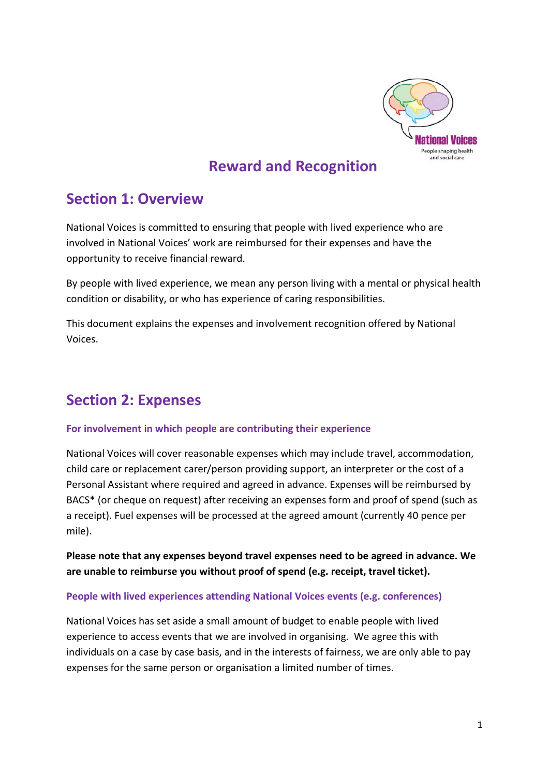

## **Reward and Recognition**

### **Section 1: Overview**

National Voices is committed to ensuring that people with lived experience who are involved in National Voices' work are reimbursed for their expenses and have the opportunity to receive financial reward.

By people with lived experience, we mean any person living with a mental or physical health condition or disability, or who has experience of caring responsibilities.

This document explains the expenses and involvement recognition offered by National Voices.

# **Section 2: Expenses**

#### **For involvement in which people are contributing their experience**

National Voices will cover reasonable expenses which may include travel, accommodation, child care or replacement carer/person providing support, an interpreter or the cost of a Personal Assistant where required and agreed in advance. Expenses will be reimbursed by BACS\* (or cheque on request) after receiving an expenses form and proof of spend (such as a receipt). Fuel expenses will be processed at the agreed amount (currently 40 pence per mile).

**Please note that any expenses beyond travel expenses need to be agreed in advance. We are unable to reimburse you without proof of spend (e.g. receipt, travel ticket).**

#### **People with lived experiences attending National Voices events (e.g. conferences)**

National Voices has set aside a small amount of budget to enable people with lived experience to access events that we are involved in organising. We agree this with individuals on a case by case basis, and in the interests of fairness, we are only able to pay expenses for the same person or organisation a limited number of times.